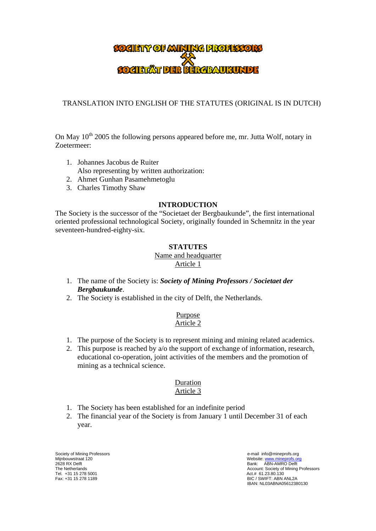# SOCIETY OF MINIKE PROFESSORS

# TRANSLATION INTO ENGLISH OF THE STATUTES (ORIGINAL IS IN DUTCH)

On May  $10^{th}$  2005 the following persons appeared before me, mr. Jutta Wolf, notary in Zoetermeer:

- 1. Johannes Jacobus de Ruiter
	- Also representing by written authorization:
- 2. Ahmet Gunhan Pasamehmetoglu
- 3. Charles Timothy Shaw

#### **INTRODUCTION**

The Society is the successor of the "Societaet der Bergbaukunde", the first international oriented professional technological Society, originally founded in Schemnitz in the year seventeen-hundred-eighty-six.

## **STATUTES**

#### Name and headquarter Article 1

- 1. The name of the Society is: *Society of Mining Professors / Societaet der Bergbaukunde*.
- 2. The Society is established in the city of Delft, the Netherlands.

#### Purpose Article 2

- 1. The purpose of the Society is to represent mining and mining related academics.
- 2. This purpose is reached by a/o the support of exchange of information, research, educational co-operation, joint activities of the members and the promotion of mining as a technical science.

#### Duration Article 3

- 1. The Society has been established for an indefinite period
- 2. The financial year of the Society is from January 1 until December 31 of each year.

Society of Mining Professors<br>
Minbouwstraat 120<br>
Minbouwstraat 120 Mijnbouwstraat 120<br>2628 RX Delft Bank: ABN-AMRO Delft Bank: ABN-AMRO Delft Bank: ABN-AMRO Delft Bank: ABN-AMRO Delft Tel. +31 15 278 5001<br>Fax: +31 15 278 1189

The Netherlands<br>
The Netherlands<br>
The 1-31 15 278 5001 BIC / SWIFT: ABN ANL2A IBAN: NL03ABNA05612380130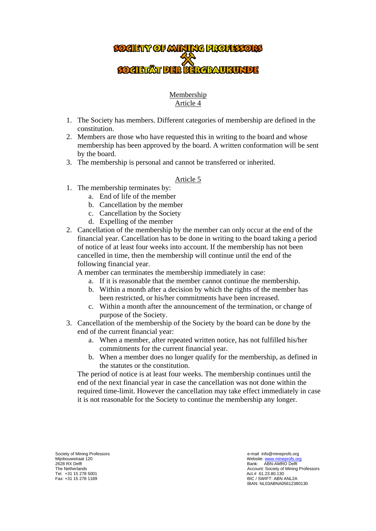

## Membership Article 4

- 1. The Society has members. Different categories of membership are defined in the constitution.
- 2. Members are those who have requested this in writing to the board and whose membership has been approved by the board. A written conformation will be sent by the board.
- 3. The membership is personal and cannot be transferred or inherited.

#### Article 5

- 1. The membership terminates by:
	- a. End of life of the member
	- b. Cancellation by the member
	- c. Cancellation by the Society
	- d. Expelling of the member
- 2. Cancellation of the membership by the member can only occur at the end of the financial year. Cancellation has to be done in writing to the board taking a period of notice of at least four weeks into account. If the membership has not been cancelled in time, then the membership will continue until the end of the following financial year.

A member can terminates the membership immediately in case:

- a. If it is reasonable that the member cannot continue the membership.
- b. Within a month after a decision by which the rights of the member has been restricted, or his/her commitments have been increased.
- c. Within a month after the announcement of the termination, or change of purpose of the Society.
- 3. Cancellation of the membership of the Society by the board can be done by the end of the current financial year:
	- a. When a member, after repeated written notice, has not fulfilled his/her commitments for the current financial year.
	- b. When a member does no longer qualify for the membership, as defined in the statutes or the constitution.

The period of notice is at least four weeks. The membership continues until the end of the next financial year in case the cancellation was not done within the required time-limit. However the cancellation may take effect immediately in case it is not reasonable for the Society to continue the membership any longer.

Society of Mining Professors<br>
Minbouwstraat 120<br>
Minbouwstraat 120 Tel. +31 15 278 5001<br>Fax: +31 15 278 1189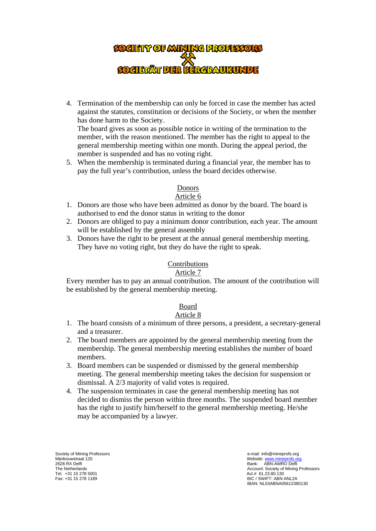# **SOCIETY OF MINING PROFESSORS**

4. Termination of the membership can only be forced in case the member has acted against the statutes, constitution or decisions of the Society, or when the member has done harm to the Society.

The board gives as soon as possible notice in writing of the termination to the member, with the reason mentioned. The member has the right to appeal to the general membership meeting within one month. During the appeal period, the member is suspended and has no voting right.

5. When the membership is terminated during a financial year, the member has to pay the full year's contribution, unless the board decides otherwise.

# Donors

## Article 6

- 1. Donors are those who have been admitted as donor by the board. The board is authorised to end the donor status in writing to the donor
- 2. Donors are obliged to pay a minimum donor contribution, each year. The amount will be established by the general assembly
- 3. Donors have the right to be present at the annual general membership meeting. They have no voting right, but they do have the right to speak.

# Contributions

## Article 7

Every member has to pay an annual contribution. The amount of the contribution will be established by the general membership meeting.

#### Board

## Article 8

- 1. The board consists of a minimum of three persons, a president, a secretary-general and a treasurer.
- 2. The board members are appointed by the general membership meeting from the membership. The general membership meeting establishes the number of board members.
- 3. Board members can be suspended or dismissed by the general membership meeting. The general membership meeting takes the decision for suspension or dismissal. A 2/3 majority of valid votes is required.
- 4. The suspension terminates in case the general membership meeting has not decided to dismiss the person within three months. The suspended board member has the right to justify him/herself to the general membership meeting. He/she may be accompanied by a lawyer.

Society of Mining Professors<br>
Minbouwstraat 120<br>
Minbouwstraat 120 Tel. +31 15 278 5001<br>Fax: +31 15 278 1189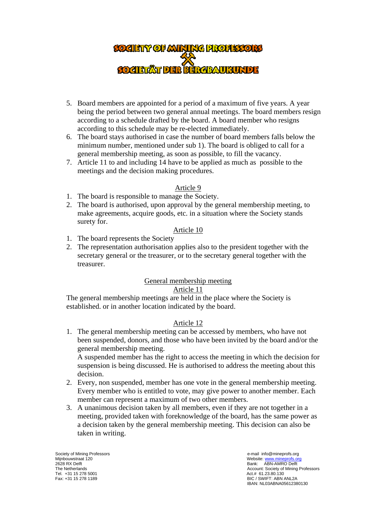

- 5. Board members are appointed for a period of a maximum of five years. A year being the period between two general annual meetings. The board members resign according to a schedule drafted by the board. A board member who resigns according to this schedule may be re-elected immediately.
- 6. The board stays authorised in case the number of board members falls below the minimum number, mentioned under sub 1). The board is obliged to call for a general membership meeting, as soon as possible, to fill the vacancy.
- 7. Article 11 to and including 14 have to be applied as much as possible to the meetings and the decision making procedures.

#### Article 9

- 1. The board is responsible to manage the Society.
- 2. The board is authorised, upon approval by the general membership meeting, to make agreements, acquire goods, etc. in a situation where the Society stands surety for.

#### Article 10

- 1. The board represents the Society
- 2. The representation authorisation applies also to the president together with the secretary general or the treasurer, or to the secretary general together with the treasurer.

#### General membership meeting

#### Article 11

The general membership meetings are held in the place where the Society is established. or in another location indicated by the board.

#### Article 12

1. The general membership meeting can be accessed by members, who have not been suspended, donors, and those who have been invited by the board and/or the general membership meeting.

A suspended member has the right to access the meeting in which the decision for suspension is being discussed. He is authorised to address the meeting about this decision.

- 2. Every, non suspended, member has one vote in the general membership meeting. Every member who is entitled to vote, may give power to another member. Each member can represent a maximum of two other members.
- 3. A unanimous decision taken by all members, even if they are not together in a meeting, provided taken with foreknowledge of the board, has the same power as a decision taken by the general membership meeting. This decision can also be taken in writing.

Society of Mining Professors<br>
Minbouwstraat 120<br>
Minbouwstraat 120 Tel. +31 15 278 5001<br>Fax: +31 15 278 1189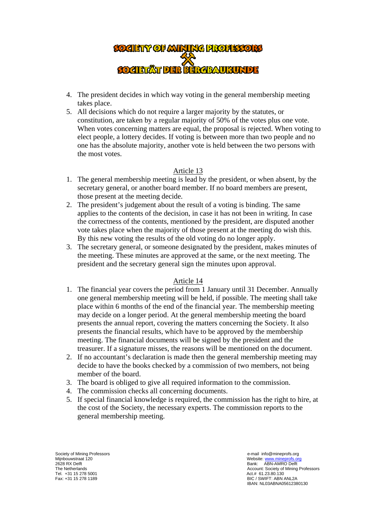

- 4. The president decides in which way voting in the general membership meeting takes place.
- 5. All decisions which do not require a larger majority by the statutes, or constitution, are taken by a regular majority of 50% of the votes plus one vote. When votes concerning matters are equal, the proposal is rejected. When voting to elect people, a lottery decides. If voting is between more than two people and no one has the absolute majority, another vote is held between the two persons with the most votes.

#### Article 13

- 1. The general membership meeting is lead by the president, or when absent, by the secretary general, or another board member. If no board members are present, those present at the meeting decide.
- 2. The president's judgement about the result of a voting is binding. The same applies to the contents of the decision, in case it has not been in writing. In case the correctness of the contents, mentioned by the president, are disputed another vote takes place when the majority of those present at the meeting do wish this. By this new voting the results of the old voting do no longer apply.
- 3. The secretary general, or someone designated by the president, makes minutes of the meeting. These minutes are approved at the same, or the next meeting. The president and the secretary general sign the minutes upon approval.

#### Article 14

- 1. The financial year covers the period from 1 January until 31 December. Annually one general membership meeting will be held, if possible. The meeting shall take place within 6 months of the end of the financial year. The membership meeting may decide on a longer period. At the general membership meeting the board presents the annual report, covering the matters concerning the Society. It also presents the financial results, which have to be approved by the membership meeting. The financial documents will be signed by the president and the treasurer. If a signature misses, the reasons will be mentioned on the document.
- 2. If no accountant's declaration is made then the general membership meeting may decide to have the books checked by a commission of two members, not being member of the board.
- 3. The board is obliged to give all required information to the commission.
- 4. The commission checks all concerning documents.
- 5. If special financial knowledge is required, the commission has the right to hire, at the cost of the Society, the necessary experts. The commission reports to the general membership meeting.

Society of Mining Professors<br>
Minbouwstraat 120<br>
Minbouwstraat 120 Tel. +31 15 278 5001<br>Fax: +31 15 278 1189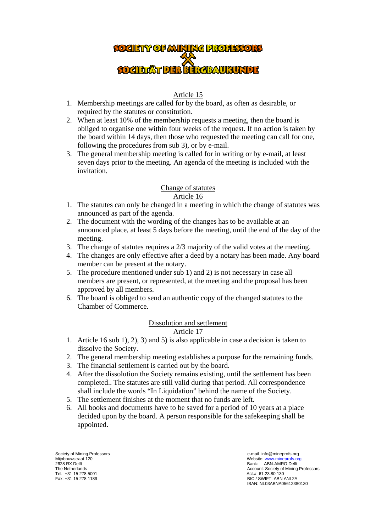

## Article 15

- 1. Membership meetings are called for by the board, as often as desirable, or required by the statutes or constitution.
- 2. When at least 10% of the membership requests a meeting, then the board is obliged to organise one within four weeks of the request. If no action is taken by the board within 14 days, then those who requested the meeting can call for one, following the procedures from sub 3), or by e-mail.
- 3. The general membership meeting is called for in writing or by e-mail, at least seven days prior to the meeting. An agenda of the meeting is included with the invitation.

#### Change of statutes Article 16

- 1. The statutes can only be changed in a meeting in which the change of statutes was announced as part of the agenda.
- 2. The document with the wording of the changes has to be available at an announced place, at least 5 days before the meeting, until the end of the day of the meeting.
- 3. The change of statutes requires a 2/3 majority of the valid votes at the meeting.
- 4. The changes are only effective after a deed by a notary has been made. Any board member can be present at the notary.
- 5. The procedure mentioned under sub 1) and 2) is not necessary in case all members are present, or represented, at the meeting and the proposal has been approved by all members.
- 6. The board is obliged to send an authentic copy of the changed statutes to the Chamber of Commerce.

## Dissolution and settlement

#### Article 17

- 1. Article 16 sub 1), 2), 3) and 5) is also applicable in case a decision is taken to dissolve the Society.
- 2. The general membership meeting establishes a purpose for the remaining funds.
- 3. The financial settlement is carried out by the board.
- 4. After the dissolution the Society remains existing, until the settlement has been completed.. The statutes are still valid during that period. All correspondence shall include the words "In Liquidation" behind the name of the Society.
- 5. The settlement finishes at the moment that no funds are left.
- 6. All books and documents have to be saved for a period of 10 years at a place decided upon by the board. A person responsible for the safekeeping shall be appointed.

Society of Mining Professors<br>
Minbouwstraat 120<br>
Minbouwstraat 120 Tel. +31 15 278 5001<br>Fax: +31 15 278 1189